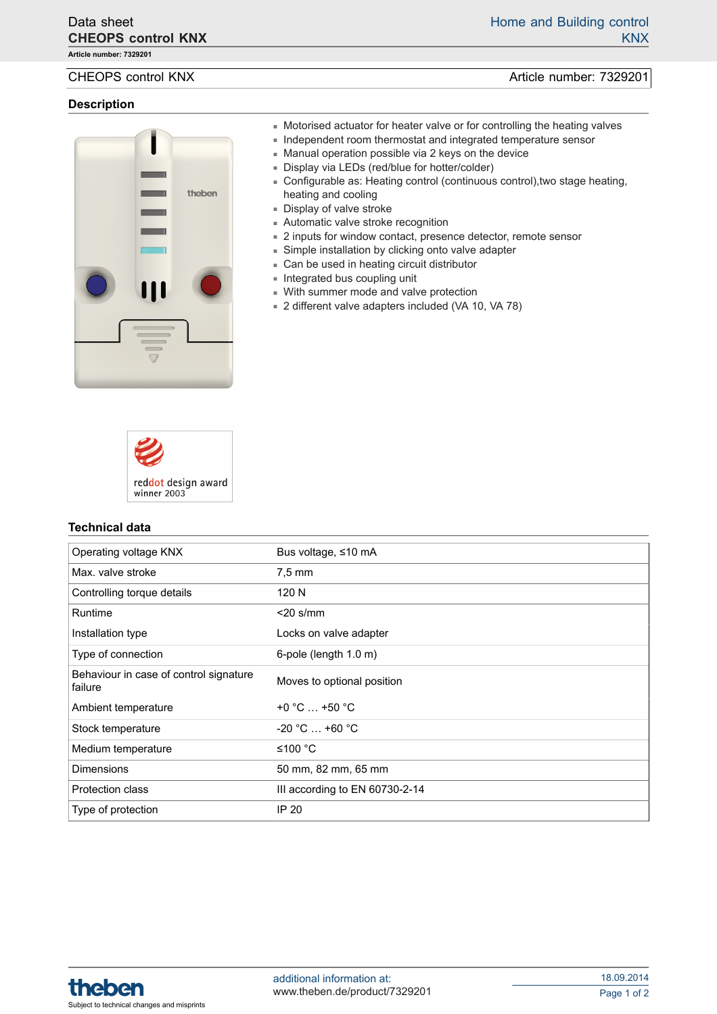**Article number: 7329201**

## **Description**



- CHEOPS control KNX and the control CHEOPS control KNX and the control of the control of the control of the control of the control of the control of the control of the control of the control of the control of the control of
	- Motorised actuator for heater valve or for controlling the heating valves
	- Independent room thermostat and integrated temperature sensor
	- Manual operation possible via 2 keys on the device
	- Display via LEDs (red/blue for hotter/colder)
	- Configurable as: Heating control (continuous control), two stage heating, heating and cooling
	- Display of valve stroke
	- Automatic valve stroke recognition
	- 2 inputs for window contact, presence detector, remote sensor
	- Simple installation by clicking onto valve adapter
	- Can be used in heating circuit distributor
	- Integrated bus coupling unit
	- With summer mode and valve protection
	- 2 different valve adapters included (VA 10, VA 78)



### **Technical data**

| Operating voltage KNX                             | Bus voltage, ≤10 mA            |
|---------------------------------------------------|--------------------------------|
| Max. valve stroke                                 | $7.5 \text{ mm}$               |
| Controlling torque details                        | 120 N                          |
| Runtime                                           | $<$ 20 s/mm                    |
| Installation type                                 | Locks on valve adapter         |
| Type of connection                                | 6-pole (length 1.0 m)          |
| Behaviour in case of control signature<br>failure | Moves to optional position     |
| Ambient temperature                               | $+0$ °C $$ +50 °C              |
| Stock temperature                                 | $-20 °C  +60 °C$               |
| Medium temperature                                | ≤100 °C                        |
| <b>Dimensions</b>                                 | 50 mm, 82 mm, 65 mm            |
| <b>Protection class</b>                           | III according to EN 60730-2-14 |
| Type of protection                                | IP 20                          |